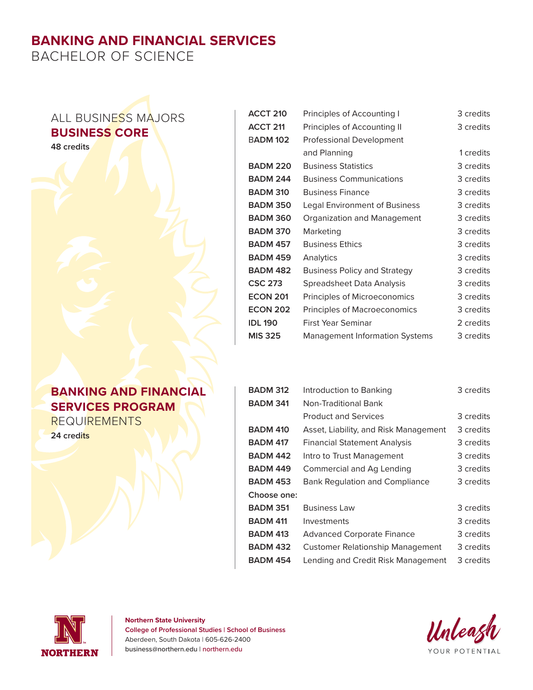# **BANKING AND FINANCIAL SERVICES**

BACHELOR OF SCIENCE

## ALL BUSINESS MAJORS **BUSINESS CORE**

**48 credits**

### **BANKING AND FINANCIAL SERVICES PROGRAM REQUIREMENTS**

**24 credits**

| <b>ACCT 210</b>                               | Principles of Accounting I          | 3 credits |
|-----------------------------------------------|-------------------------------------|-----------|
| <b>ACCT 211</b>                               | Principles of Accounting II         | 3 credits |
| <b>BADM 102</b>                               | <b>Professional Development</b>     |           |
|                                               | and Planning                        | 1 credits |
| <b>BADM 220</b><br><b>Business Statistics</b> |                                     | 3 credits |
| <b>BADM 244</b>                               | <b>Business Communications</b>      | 3 credits |
| <b>BADM 310</b>                               | <b>Business Finance</b>             | 3 credits |
| <b>BADM 350</b>                               | Legal Environment of Business       | 3 credits |
| <b>BADM 360</b>                               | Organization and Management         | 3 credits |
| <b>BADM 370</b>                               | Marketing                           | 3 credits |
| <b>BADM 457</b>                               | <b>Business Ethics</b>              | 3 credits |
| <b>BADM 459</b>                               | Analytics                           | 3 credits |
| <b>BADM 482</b>                               | <b>Business Policy and Strategy</b> | 3 credits |
| <b>CSC 273</b>                                | Spreadsheet Data Analysis           | 3 credits |
| <b>ECON 201</b>                               | Principles of Microeconomics        | 3 credits |
| <b>ECON 202</b>                               | <b>Principles of Macroeconomics</b> | 3 credits |
| <b>IDL 190</b>                                | First Year Seminar                  | 2 credits |
| <b>MIS 325</b>                                | Management Information Systems      | 3 credits |

| <b>BADM 312</b> | Introduction to Banking                 | 3 credits |
|-----------------|-----------------------------------------|-----------|
| <b>BADM 341</b> | Non-Traditional Bank                    |           |
|                 | <b>Product and Services</b>             | 3 credits |
| <b>BADM 410</b> | Asset, Liability, and Risk Management   | 3 credits |
| <b>BADM 417</b> | <b>Financial Statement Analysis</b>     | 3 credits |
| <b>BADM 442</b> | Intro to Trust Management               | 3 credits |
| <b>BADM 449</b> | Commercial and Ag Lending               | 3 credits |
| <b>BADM 453</b> | <b>Bank Regulation and Compliance</b>   | 3 credits |
| Choose one:     |                                         |           |
| <b>BADM 351</b> | <b>Business Law</b>                     | 3 credits |
| <b>BADM 411</b> | Investments                             | 3 credits |
| <b>BADM 413</b> | <b>Advanced Corporate Finance</b>       | 3 credits |
| <b>BADM 432</b> | <b>Customer Relationship Management</b> | 3 credits |
| <b>BADM 454</b> | Lending and Credit Risk Management      | 3 credits |



#### **Northern State University College of Professional Studies | School of Business** Aberdeen, South Dakota | 605-626-2400 business@northern.edu | northern.edu